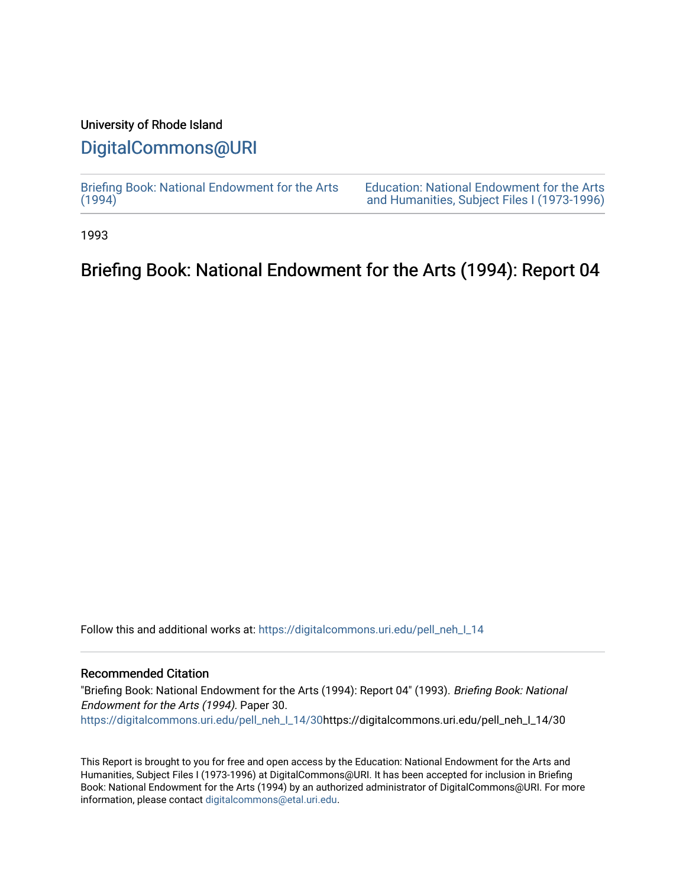## University of Rhode Island

## [DigitalCommons@URI](https://digitalcommons.uri.edu/)

[Briefing Book: National Endowment for the Arts](https://digitalcommons.uri.edu/pell_neh_I_14)  $(1994)$ 

[Education: National Endowment for the Arts](https://digitalcommons.uri.edu/pell_neh_I)  [and Humanities, Subject Files I \(1973-1996\)](https://digitalcommons.uri.edu/pell_neh_I) 

1993

# Briefing Book: National Endowment for the Arts (1994): Report 04

Follow this and additional works at: [https://digitalcommons.uri.edu/pell\\_neh\\_I\\_14](https://digitalcommons.uri.edu/pell_neh_I_14?utm_source=digitalcommons.uri.edu%2Fpell_neh_I_14%2F30&utm_medium=PDF&utm_campaign=PDFCoverPages) 

## Recommended Citation

"Briefing Book: National Endowment for the Arts (1994): Report 04" (1993). Briefing Book: National Endowment for the Arts (1994). Paper 30. [https://digitalcommons.uri.edu/pell\\_neh\\_I\\_14/30h](https://digitalcommons.uri.edu/pell_neh_I_14/30?utm_source=digitalcommons.uri.edu%2Fpell_neh_I_14%2F30&utm_medium=PDF&utm_campaign=PDFCoverPages)ttps://digitalcommons.uri.edu/pell\_neh\_I\_14/30

This Report is brought to you for free and open access by the Education: National Endowment for the Arts and Humanities, Subject Files I (1973-1996) at DigitalCommons@URI. It has been accepted for inclusion in Briefing Book: National Endowment for the Arts (1994) by an authorized administrator of DigitalCommons@URI. For more information, please contact [digitalcommons@etal.uri.edu.](mailto:digitalcommons@etal.uri.edu)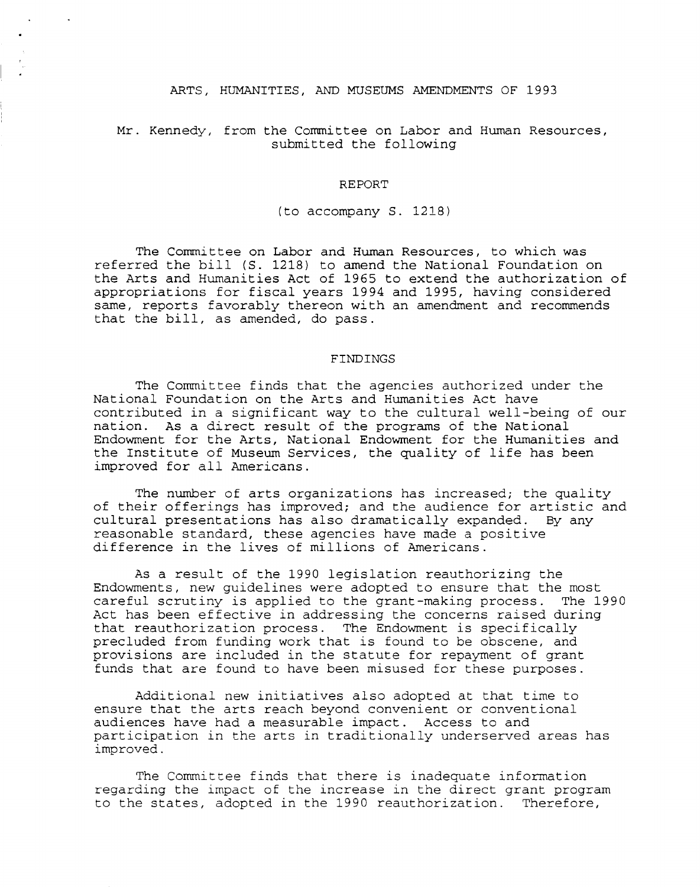#### ARTS, HUMANITIES, AND MUSEUMS AMENDMENTS OF 1993

### Mr. Kennedy, from the Committee on Labor and Human Resources, submitted the following

#### REPORT

(to accompany S. 1218)

The Committee on Labor and Human Resources, to which was referred the bill (S. 1218) to amend the National Foundation on the Arts and Humanities Act of 1965 to extend the authorization of appropriations for fiscal years 1994 and 1995, having considered same, reports favorably thereon with an amendment and recommends that the bill, as amended, do pass.

#### FINDINGS

The Committee finds that the agencies authorized under the National Foundation on the Arts and Humanities Act have contributed in a significant way to the cultural well-being of our nation. As a direct result of the programs of the National Endowment for the Arts, National Endowment for the Humanities and the Institute of Museum Services, the quality of life has been improved for all Americans.

The number of arts organizations has increased; the quality of their offerings has improved; and the audience for artistic and cultural presentations has also dramatically expanded. By any cultural presentations has also dramatically expanded. reasonable standard, these agencies have made a positive difference in the lives of millions of Americans.

As a result of the 1990 legislation reauthorizing the Endowments, new guidelines were adopted to ensure that the most careful scrutiny is applied to the grant-making process. The 1990 Act has been effective in addressing the concerns raised during that reauthorization process. The Endowment is specifically precluded from funding work that is found to be obscene, and provisions are included in the statute for repayment of grant funds that are found to have been misused for these purposes.

Additional new initiatives also adopted at that time to ensure that the arts reach beyond convenient or conventional audiences have had a measurable impact. Access to and participation in the arts in traditionally underserved areas has improved.

The Committee finds that there is inadequate information regarding the impact of the increase in the direct grant program to the states, adopted in the 1990 reauthorization. Therefore,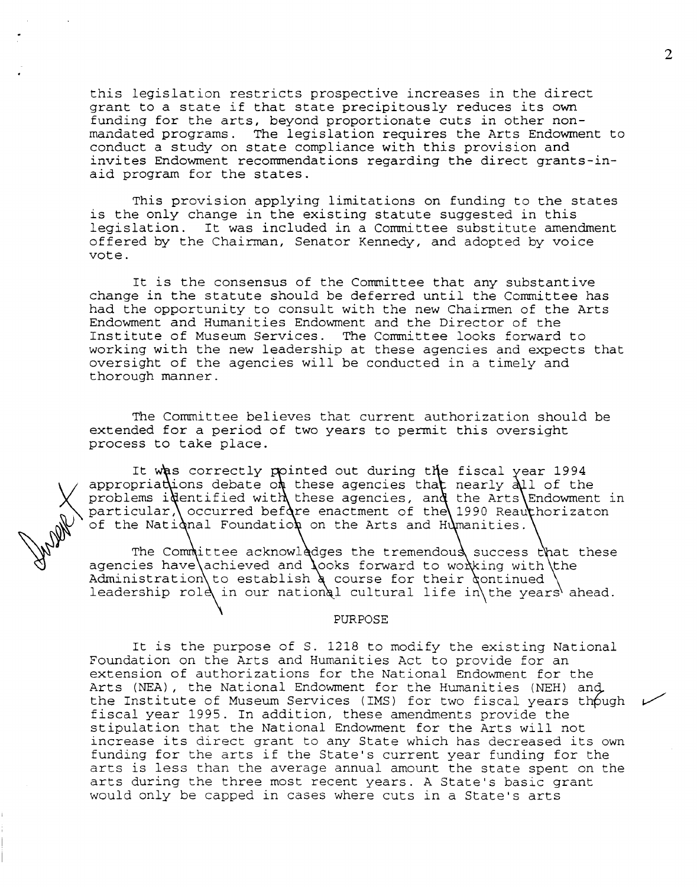this legislation restricts prospective increases in the direct grant to a state if that state precipitously reduces its own funding for the arts, beyond proportionate cuts in other nonmandated programs. The legislation requires the Arts Endowment to conduct a study on state compliance with this provision and invites Endowment recommendations regarding the direct grants-inaid program for the states.

This provision applying limitations on funding to the states is the only change in the existing statute suggested in this legislation. It was included in a Committee substitute amendment offered by the Chairman, Senator Kennedy, and adopted by voice vote.

It is the consensus of the Committee that any substantive change in the statute should be deferred until the Committee has had the opportunity to consult with the new Chairmen of the Arts Endowment and Humanities Endowment and the Director of the Institute of Museum Services. The Committee looks forward to working with the new leadership at these agencies and expects that oversight of the agencies will be conducted in a timely and thorough manner.

The Committee believes that current authorization should be extended for a period of two years to permit this oversight process to take place.

It was correctly pointed out during the fiscal appropriations debate on these agencies that<br>problems identified with these agencies, and<br>particular, occurred before enactment of the<br>of the National Foundation on the Arts and B appropriate the deaded of these agencies and particular, occurred before enactment of the 1990 Reauthorizaton of the National Foundation on the Arts and Humanities. nearly  $\lambda$ ll of the the Arts Endowment in

The Committee acknowledges the tremendous success that these agencies have achieved and  $\lambda$ ooks forward to wo $\lambda$ king with the Administration to establish a course for their continued Administration to escabiish a coarse for their dontinaed (<br>leadership role in our national cultural life in the years ahead.

#### PURPOSE

It is the purpose of S. 1218 to modify the existing National Foundation on the Arts and Humanities Act to provide for an extension of authorizations for the National Endowment for the Arts (NEA) , the National Endowment for the Hwnanities (NEH) ang. the Institute of Museum Services (IMS) for two fiscal years though fiscal year 1995. In addition, these amendments provide the stipulation that the National Endowment for the Arts will not increase its direct grant to any State which has decreased its own funding for the arts if the State's current year funding for the arts is less than the average annual amount the state spent on the arts during the three most recent years. A State's basic grant would only be capped in cases where cuts in a State's arts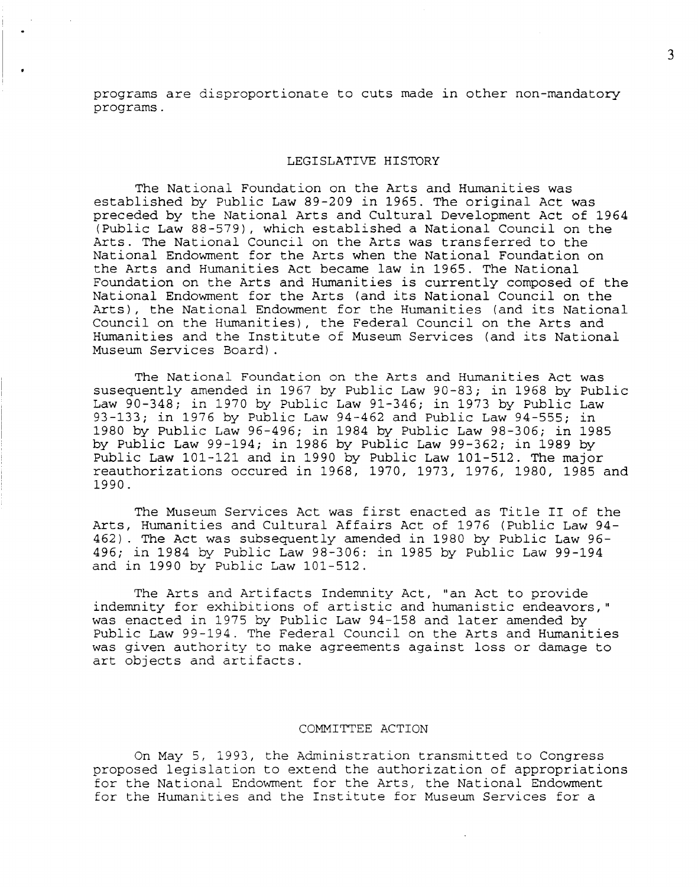programs are disproportionate to cuts made in other non-mandatory programs.

### LEGISLATIVE HISTORY

The National Foundation on the Arts and Humanities was established by Public Law 89-209 in 1965. The original Act was preceded by the National Arts and Cultural Development Act of 1964 (Public Law 88-579), which established a National Council on the Arts. The National Council on the Arts was transferred to the National Endowment for the Arts when the National Foundation on the Arts and Humanities Act became law in 1965. The National Foundation on the Arts and Humanities is currently composed of the National Endowment for the Arts (and its National Council on the Arts), the National Endowment for the Humanities (and its National Council on the Humanities), the Federal Council on the Arts and Humanities and the Institute of Museum Services (and its National Museum Services Board) .

The National Foundation on the Arts and Humanities Act was susequently amended in 1967 by Public Law 90-83; in 1968 by Public Law 90-348; in 1970 by Public Law 91-346; in 1973 by Public Law 93-133; in 1976 by Public Law 94-462 and Public Law 94-555; in 1980 by Public Law 96-496; in 1984 by Public Law 98-306; in 1985 by Public Law 99-194; in 1986 by Public Law 99-362; in 1989 by Public Law 101-121 and in 1990 by Public Law 101-512. The major reauthorizations occured in 1968, 1970, 1973, 1976, 1980, 1985 and 1990.

The Museum Services Act was first enacted as Title II of the Arts, Humanities and Cultural Affairs Act of 1976 (Public Law 94- 462). The Act was subsequently amended in 1980 by Public Law 96- 496; in 1984 by Public Law 98-306: in 1985 by Public Law 99-194 and in 1990 by Public Law 101-512.

The Arts and Artifacts Indemnity Act, "an Act to provide indemnity for exhibitions of artistic and humanistic endeavors," was enacted in 1975 by Public Law 94-158 and later amended by Public Law 99-194. The Federal Council on the Arts and Humanities was given authority to make agreements against loss or damage to art objects and artifacts.

## COMMITTEE ACTION

On May 5, 1993, the Administration transmitted to Congress proposed legislation to extend the authorization of appropriations for the National Endowment for the Arts, the National Endowment for the Humanities and the Institute for Museum Services for a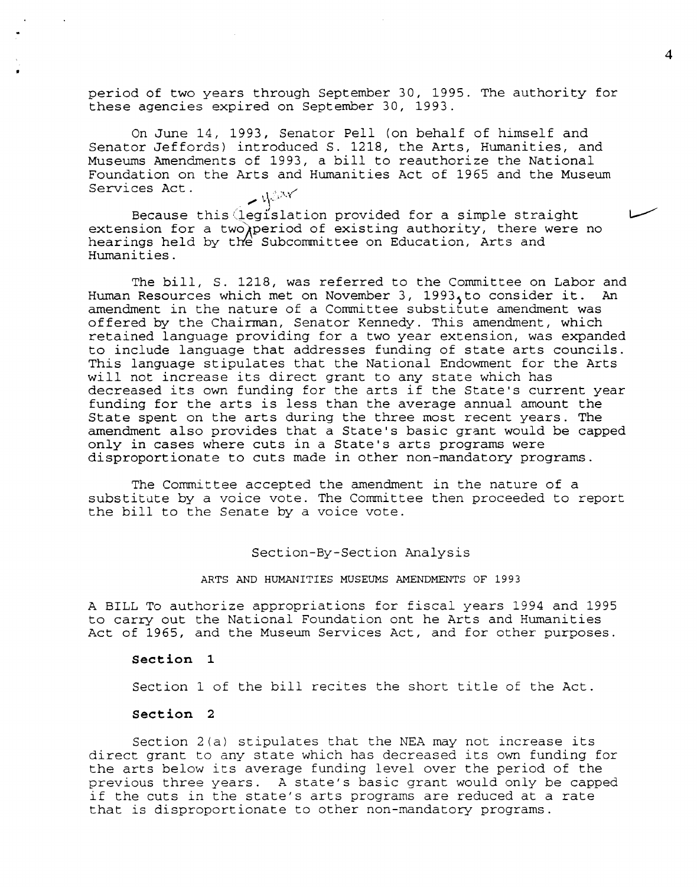period of two years through September 30, 1995. The authority for these agencies expired on September 30, 1993.

On June 14, 1993, Senator Pell (on behalf of himself and Senator Jeffords) introduced S. 1218, the Arts, Humanities, and Museums Amendments of 1993, a bill to reauthorize the National Foundation on the Arts and Humanities Act of 1965 and the Museum Services Act.  $\sim$  40xv

Because this legislation provided for a simple straight extension for a two)period of existing authority, there were no hearings held by the Subcommittee on Education, Arts and Humanities.

The bill, S. 1218, was referred to the Committee on Labor and<br>Resources which met on November 3, 1993.to consider it. An Human Resources which met on November 3, 1993, to consider it. amendment in the nature of a Committee substitute amendment was offered by the Chairman, Senator Kennedy. This amendment, which retained language providing for a two year extension, was expanded to include language that addresses funding of state arts councils. This language stipulates that the National Endowment for the Arts will not increase its direct grant to any state which has decreased its own funding for the arts if the State's current year funding for the arts is less than the average annual amount the State spent on the arts during the three most recent years. The amendment also provides that a State's basic grant would be capped only in cases where cuts in a State's arts programs were disproportionate to cuts made in other non-mandatory programs.

The Committee accepted the amendment in the nature of a substitute by a voice vote. The Committee then proceeded to report the bill to the Senate by a voice vote.

Section-By-Section Analysis

ARTS AND HUMANITIES MUSEUMS AMENDMENTS OF 1993

A BILL To authorize appropriations for fiscal years 1994 and 1995 to carry out the National Foundation ont he Arts and Humanities Act of 1965, and the Museum Services Act, and for other purposes.

#### **Section 1**

Section 1 of the bill recites the short title of the Act.

#### **Section 2**

Section 2(a) stipulates that the NEA may not increase its direct grant to any state which has decreased its own funding for the arts below its average funding level over the period of the previous three years. A state's basic grant would only be capped if the cuts in the state's arts programs are reduced at a rate that is disproportionate to other non-mandatory programs.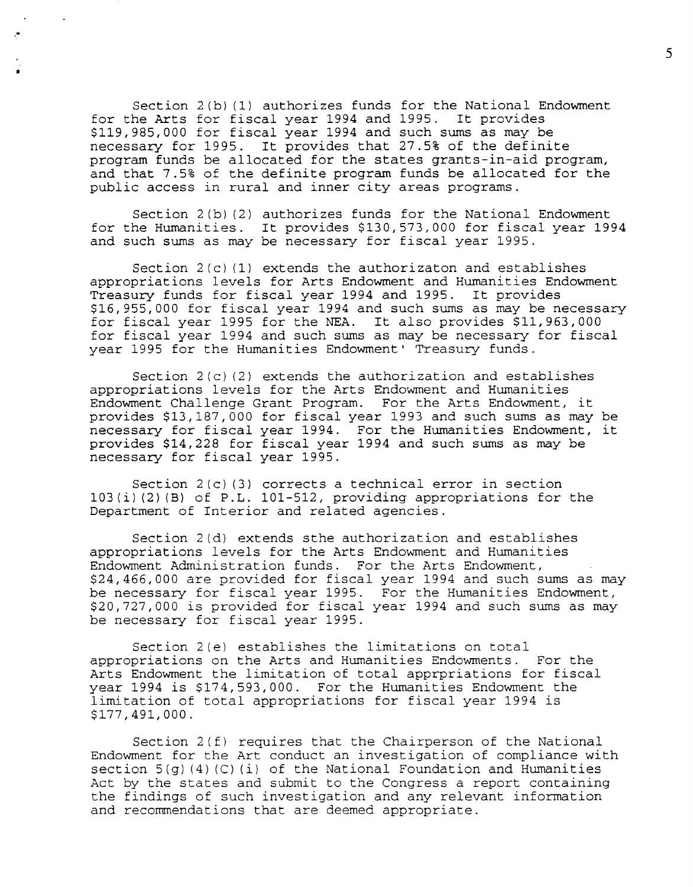Section 2(b)(1) authorizes funds for the National Endowment<br>he Arts for fiscal year 1994 and 1995. It provides for the Arts for fiscal year 1994 and 1995. \$119,985,000 for fiscal year 1994 and such sums as may be necessary for 1995. It provides that 27.5% of the definite program funds be allocated for the states grants-in-aid program, and that 7.5% of the definite program funds be allocated for the public access in rural and inner city areas programs.

•

Section 2(b) (2) authorizes funds for the National Endowment for the Humanities. It provides \$130,573,000 for fiscal year 1994 and such sums as may be necessary for fiscal year 1995.

Section  $2(c)$  (1) extends the authorizaton and establishes appropriations levels for Arts Endowment and Humanities Endowment Treasury funds for fiscal year 1994 and 1995. It provides \$16,955,000 for fiscal year 1994 and such sums as may be necessary for fiscal year 1995 for the NEA. It also provides \$11,963,000 for fiscal year 1994 and such sums as may be necessary for fiscal year 1995 for the Humanities Endowment' Treasury funds.

Section 2(c) (2) extends the authorization and establishes appropriations levels for the Arts Endowment and Humanities Endowment Challenge Grant Program. For the Arts Endowment, it provides \$13,187,000 for fiscal year 1993 and such sums as may be necessary for fiscal year 1994. For the Humanities Endowment, it provides \$14,228 for fiscal year 1994 and such sums as may be necessary for fiscal year 1995.

Section 2(c) (3) corrects a technical error in section 103(i) (2) (B) of P.L. 101-512, providing appropriations for the Department of Interior and related agencies.

Section 2{d) extends sthe authorization and establishes appropriations levels for the Arts Endowment and Humanities Endowment Administration funds. For the Arts Endowment, \$24,466,000 are provided for fiscal year 1994 and such sums as may be necessary for fiscal year 1995. For the Humanities Endowment, \$20,727,000 is provided for fiscal year 1994 and such sums as may be necessary for fiscal year 1995.

Section 2(e) establishes the limitations on total appropriations on the Arts and Humanities Endowments. For the Arts Endowment the limitation of total apprpriations for fiscal year 1994 is \$174,593,000. For the Humanities Endowment the limitation of total appropriations for fiscal year 1994 is \$177,491,000.

Section 2(f) requires that the Chairperson of the National Endowment for the Art conduct an investigation of compliance with section 5(g) (4) (C) (i) of the National Foundation and Humanities Act by the states and submit to the Congress a report containing the findings of such investigation and any relevant information and recommendations that are deemed appropriate.